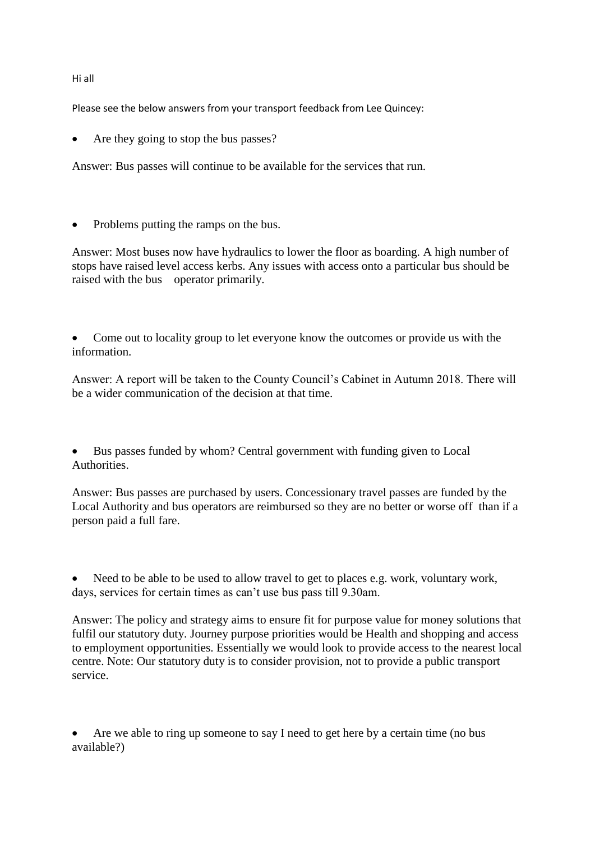## Hi all

Please see the below answers from your transport feedback from Lee Quincey:

Are they going to stop the bus passes?

Answer: Bus passes will continue to be available for the services that run.

Problems putting the ramps on the bus.

Answer: Most buses now have hydraulics to lower the floor as boarding. A high number of stops have raised level access kerbs. Any issues with access onto a particular bus should be raised with the bus operator primarily.

 Come out to locality group to let everyone know the outcomes or provide us with the information.

Answer: A report will be taken to the County Council's Cabinet in Autumn 2018. There will be a wider communication of the decision at that time.

 Bus passes funded by whom? Central government with funding given to Local Authorities.

Answer: Bus passes are purchased by users. Concessionary travel passes are funded by the Local Authority and bus operators are reimbursed so they are no better or worse off than if a person paid a full fare.

 Need to be able to be used to allow travel to get to places e.g. work, voluntary work, days, services for certain times as can't use bus pass till 9.30am.

Answer: The policy and strategy aims to ensure fit for purpose value for money solutions that fulfil our statutory duty. Journey purpose priorities would be Health and shopping and access to employment opportunities. Essentially we would look to provide access to the nearest local centre. Note: Our statutory duty is to consider provision, not to provide a public transport service.

 Are we able to ring up someone to say I need to get here by a certain time (no bus available?)